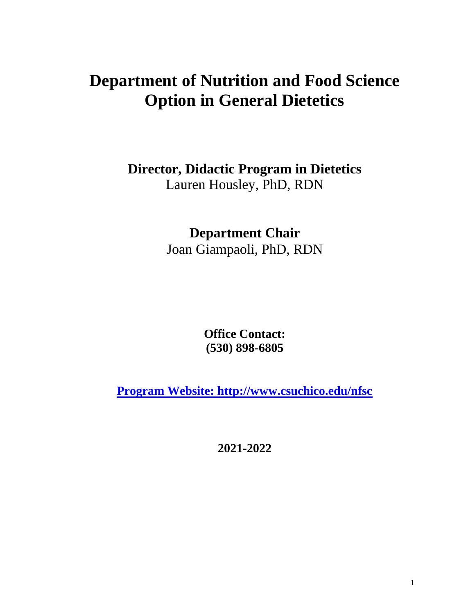# **Department of Nutrition and Food Science Option in General Dietetics**

**Director, Didactic Program in Dietetics**

Lauren Housley, PhD, RDN

**Department Chair**

Joan Giampaoli, PhD, RDN

**Office Contact: (530) 898-6805**

**[Program Website: http://www.csuchico.edu/nfsc](file:///C:/Users/marobicheau/AppData/Local/Microsoft/Windows/INetCache/Content.Outlook/WT0SN52P/Program%20Website:%20http:/www.csuchico.edu/nfsc)**

**2021-2022**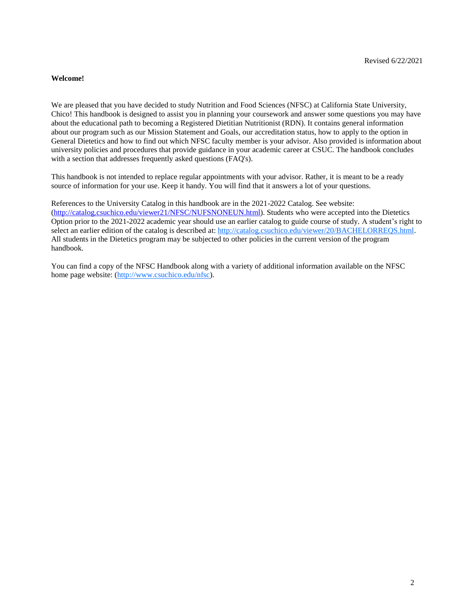# **Welcome!**

We are pleased that you have decided to study Nutrition and Food Sciences (NFSC) at California State University, Chico! This handbook is designed to assist you in planning your coursework and answer some questions you may have about the educational path to becoming a Registered Dietitian Nutritionist (RDN). It contains general information about our program such as our Mission Statement and Goals, our accreditation status, how to apply to the option in General Dietetics and how to find out which NFSC faculty member is your advisor. Also provided is information about university policies and procedures that provide guidance in your academic career at CSUC. The handbook concludes with a section that addresses frequently asked questions (FAQ's).

This handbook is not intended to replace regular appointments with your advisor. Rather, it is meant to be a ready source of information for your use. Keep it handy. You will find that it answers a lot of your questions.

References to the University Catalog in this handbook are in the 2021-2022 Catalog. See website: [\(http://catalog.csuchico.edu/viewer21/NFSC/NUFSNONEUN.html\)](http://catalog.csuchico.edu/viewer21/NFSC/NUFSNONEUN.html). Students who were accepted into the Dietetics Option prior to the 2021-2022 academic year should use an earlier catalog to guide course of study. A student's right to select an earlier edition of the catalog is described at: [http://catalog.csuchico.edu/viewer/20/BACHELORREQS.html.](http://catalog.csuchico.edu/viewer/20/BACHELORREQS.html) All students in the Dietetics program may be subjected to other policies in the current version of the program handbook.

You can find a copy of the NFSC Handbook along with a variety of additional information available on the NFSC home page website: [\(http://www.csuchico.edu/nfsc\)](http://www.csuchico.edu/nfsc).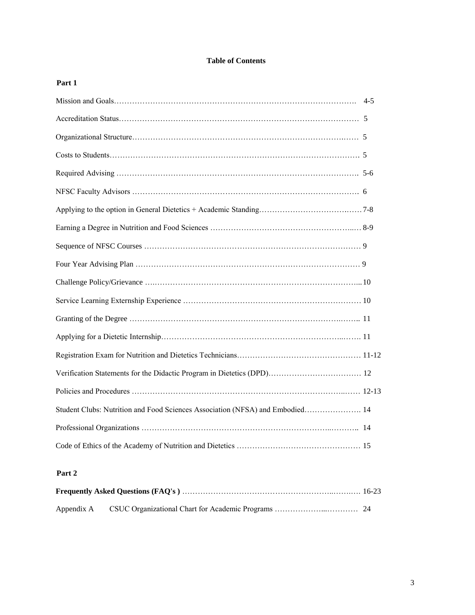# **Table of Contents**

# **Part 1**

| Student Clubs: Nutrition and Food Sciences Association (NFSA) and Embodied 14 |  |
|-------------------------------------------------------------------------------|--|
|                                                                               |  |
|                                                                               |  |

# **Part 2**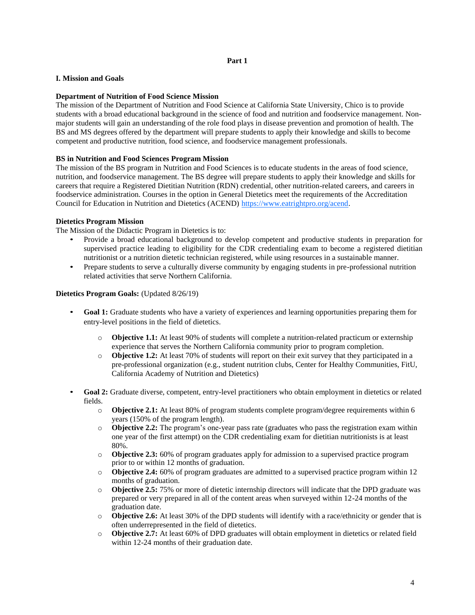#### **Part 1**

#### **I. Mission and Goals**

#### **Department of Nutrition of Food Science Mission**

The mission of the Department of Nutrition and Food Science at California State University, Chico is to provide students with a broad educational background in the science of food and nutrition and foodservice management. Nonmajor students will gain an understanding of the role food plays in disease prevention and promotion of health. The BS and MS degrees offered by the department will prepare students to apply their knowledge and skills to become competent and productive nutrition, food science, and foodservice management professionals.

#### **BS in Nutrition and Food Sciences Program Mission**

The mission of the BS program in Nutrition and Food Sciences is to educate students in the areas of food science, nutrition, and foodservice management. The BS degree will prepare students to apply their knowledge and skills for careers that require a Registered Dietitian Nutrition (RDN) credential, other nutrition-related careers, and careers in foodservice administration. Courses in the option in General Dietetics meet the requirements of the Accreditation Council for Education in Nutrition and Dietetics (ACEND) [https://www.eatrightpro.org/acend.](https://www.eatrightpro.org/acend)

#### **Dietetics Program Mission**

The Mission of the Didactic Program in Dietetics is to:

- Provide a broad educational background to develop competent and productive students in preparation for supervised practice leading to eligibility for the CDR credentialing exam to become a registered dietitian nutritionist or a nutrition dietetic technician registered, while using resources in a sustainable manner.
- Prepare students to serve a culturally diverse community by engaging students in pre-professional nutrition related activities that serve Northern California.

#### **Dietetics Program Goals:** (Updated 8/26/19)

- Goal 1: Graduate students who have a variety of experiences and learning opportunities preparing them for entry-level positions in the field of dietetics.
	- o **Objective 1.1:** At least 90% of students will complete a nutrition-related practicum or externship experience that serves the Northern California community prior to program completion.
	- o **Objective 1.2:** At least 70% of students will report on their exit survey that they participated in a pre-professional organization (e.g., student nutrition clubs, Center for Healthy Communities, FitU, California Academy of Nutrition and Dietetics)
- **Goal 2:** Graduate diverse, competent, entry-level practitioners who obtain employment in dietetics or related fields.
	- o **Objective 2.1:** At least 80% of program students complete program/degree requirements within 6 years (150% of the program length).
	- o **Objective 2.2:** The program's one-year pass rate (graduates who pass the registration exam within one year of the first attempt) on the CDR credentialing exam for dietitian nutritionists is at least 80%.
	- o **Objective 2.3:** 60% of program graduates apply for admission to a supervised practice program prior to or within 12 months of graduation.
	- o **Objective 2.4:** 60% of program graduates are admitted to a supervised practice program within 12 months of graduation.
	- o **Objective 2.5:** 75% or more of dietetic internship directors will indicate that the DPD graduate was prepared or very prepared in all of the content areas when surveyed within 12-24 months of the graduation date.
	- o **Objective 2.6:** At least 30% of the DPD students will identify with a race/ethnicity or gender that is often underrepresented in the field of dietetics.
	- o **Objective 2.7:** At least 60% of DPD graduates will obtain employment in dietetics or related field within 12-24 months of their graduation date.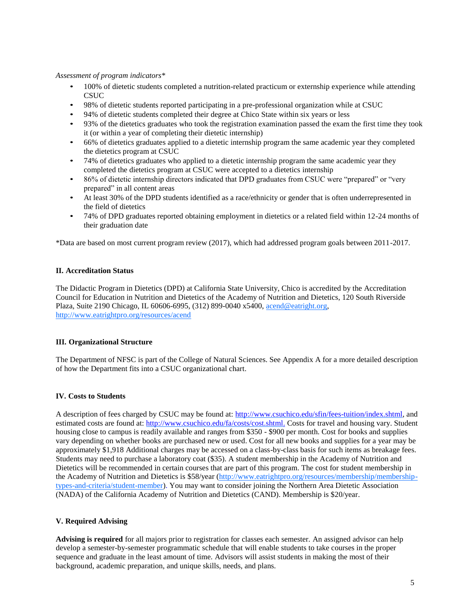#### *Assessment of program indicators\**

- 100% of dietetic students completed a nutrition-related practicum or externship experience while attending CSUC
- 98% of dietetic students reported participating in a pre-professional organization while at CSUC
- 94% of dietetic students completed their degree at Chico State within six years or less
- 93% of the dietetics graduates who took the registration examination passed the exam the first time they took it (or within a year of completing their dietetic internship)
- 66% of dietetics graduates applied to a dietetic internship program the same academic year they completed the dietetics program at CSUC
- 74% of dietetics graduates who applied to a dietetic internship program the same academic year they completed the dietetics program at CSUC were accepted to a dietetics internship
- 86% of dietetic internship directors indicated that DPD graduates from CSUC were "prepared" or "very prepared" in all content areas
- At least 30% of the DPD students identified as a race/ethnicity or gender that is often underrepresented in the field of dietetics
- 74% of DPD graduates reported obtaining employment in dietetics or a related field within 12-24 months of their graduation date

\*Data are based on most current program review (2017), which had addressed program goals between 2011-2017.

#### **II. Accreditation Status**

The Didactic Program in Dietetics (DPD) at California State University, Chico is accredited by the Accreditation Council for Education in Nutrition and Dietetics of the Academy of Nutrition and Diete[tics, 120 South Riverside](http://www.eatrightpro.org/resources/acend)  Plaza, Suite 2190 Chicago, IL 60606-6995, (312) 899-0040 x5400[, acend@eatright.org,](mailto:acend@eatright.org) <http://www.eatrightpro.org/resources/acend>

# **III. Organizational Structure**

The Department of NFSC is part of the College of Natural Sciences. See Appendix A for a more detailed description of how the Department fits into a CSUC organizational chart.

# **IV. Costs to Students**

A description of fees charged by CSUC may be found at: [http://www.csuchico.edu/sfin/fees-tuition/index.shtml,](http://www.csuchico.edu/sfin/fees-tuition/index.shtml) and estimated costs are found at: <http://www.csuchico.edu/fa/costs/cost.shtml.> Costs for travel and housing vary. Student housing close to campus is readily available and ranges from \$350 - \$900 per month. Cost for books and supplies vary depending on whether books are purchased new or used. Cost for all new books and supplies for a year may be approximately \$1,918 Additional charges may be accessed on a class-by-class basis for such items as breakage fees. Students may need to purchase a laboratory coat (\$35). A student membership in the Academy of Nutrition and Dietetics will be recommended in certain courses that are part of this program. The cost for student membership in the Academy of Nutrition and Dietetics is \$58/year [\(http://www.eatrightpro.org/resources/membership/membership](http://www.eatrightpro.org/resources/membership/membership-types-and-criteria/student-member)[types-and-criteria/student-member\)](http://www.eatrightpro.org/resources/membership/membership-types-and-criteria/student-member). You may want to consider joining the Northern Area Dietetic Association (NADA) of the California Academy of Nutrition and Dietetics (CAND). Membership is \$20/year.

# **V. Required Advising**

**Advising is required** for all majors prior to registration for classes each semester. An assigned advisor can help develop a semester-by-semester programmatic schedule that will enable students to take courses in the proper sequence and graduate in the least amount of time. Advisors will assist students in making the most of their background, academic preparation, and unique skills, needs, and plans.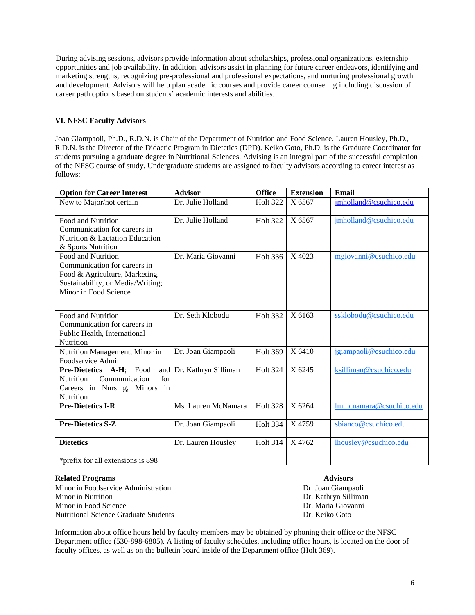During advising sessions, advisors provide information about scholarships, professional organizations, externship opportunities and job availability. In addition, advisors assist in planning for future career endeavors, identifying and marketing strengths, recognizing pre-professional and professional expectations, and nurturing professional growth and development. Advisors will help plan academic courses and provide career counseling including discussion of career path options based on students' academic interests and abilities.

#### **VI. NFSC Faculty Advisors**

Joan Giampaoli, Ph.D., R.D.N. is Chair of the Department of Nutrition and Food Science. Lauren Housley, Ph.D., R.D.N. is the Director of the Didactic Program in Dietetics (DPD). Keiko Goto, Ph.D. is the Graduate Coordinator for students pursuing a graduate degree in Nutritional Sciences. Advising is an integral part of the successful completion of the NFSC course of study. Undergraduate students are assigned to faculty advisors according to career interest as follows:

| <b>Option for Career Interest</b>                                                                                                                  | <b>Advisor</b>       | <b>Office</b>   | <b>Extension</b> | Email                   |
|----------------------------------------------------------------------------------------------------------------------------------------------------|----------------------|-----------------|------------------|-------------------------|
| New to Major/not certain                                                                                                                           | Dr. Julie Holland    | <b>Holt 322</b> | X 6567           | jmholland@csuchico.edu  |
| Food and Nutrition<br>Communication for careers in<br>Nutrition & Lactation Education<br>& Sports Nutrition                                        | Dr. Julie Holland    | <b>Holt 322</b> | X 6567           | jmholland@csuchico.edu  |
| Food and Nutrition<br>Communication for careers in<br>Food & Agriculture, Marketing,<br>Sustainability, or Media/Writing;<br>Minor in Food Science | Dr. Maria Giovanni   | Holt 336        | X 4023           | mgiovanni@csuchico.edu  |
| Food and Nutrition<br>Communication for careers in<br>Public Health, International<br>Nutrition                                                    | Dr. Seth Klobodu     | <b>Holt 332</b> | $X$ 6163         | ssklobodu@csuchico.edu  |
| Nutrition Management, Minor in<br>Foodservice Admin                                                                                                | Dr. Joan Giampaoli   | <b>Holt 369</b> | X 6410           | jgiampaoli@csuchico.edu |
| <b>Pre-Dietetics A-H;</b><br>Food<br>and<br><b>Nutrition</b><br>Communication<br>for<br>Careers in Nursing, Minors in<br>Nutrition                 | Dr. Kathryn Silliman | <b>Holt 324</b> | X 6245           | ksilliman@csuchico.edu  |
| <b>Pre-Dietetics I-R</b>                                                                                                                           | Ms. Lauren McNamara  | <b>Holt 328</b> | X 6264           | Immcnamara@csuchico.edu |
| <b>Pre-Dietetics S-Z</b>                                                                                                                           | Dr. Joan Giampaoli   | <b>Holt 334</b> | X4759            | sbianco@csuchico.edu    |
| <b>Dietetics</b>                                                                                                                                   | Dr. Lauren Housley   | <b>Holt 314</b> | X4762            | lhousley@csuchico.edu   |
| *prefix for all extensions is 898                                                                                                                  |                      |                 |                  |                         |

| <b>Related Programs</b>                      | <b>Advisors</b>      |  |  |
|----------------------------------------------|----------------------|--|--|
| Minor in Foodservice Administration          | Dr. Joan Giampaoli   |  |  |
| Minor in Nutrition                           | Dr. Kathryn Silliman |  |  |
| Minor in Food Science                        | Dr. Maria Giovanni   |  |  |
| <b>Nutritional Science Graduate Students</b> | Dr. Keiko Goto       |  |  |

Information about office hours held by faculty members may be obtained by phoning their office or the NFSC Department office (530-898-6805). A listing of faculty schedules, including office hours, is located on the door of faculty offices, as well as on the bulletin board inside of the Department office (Holt 369).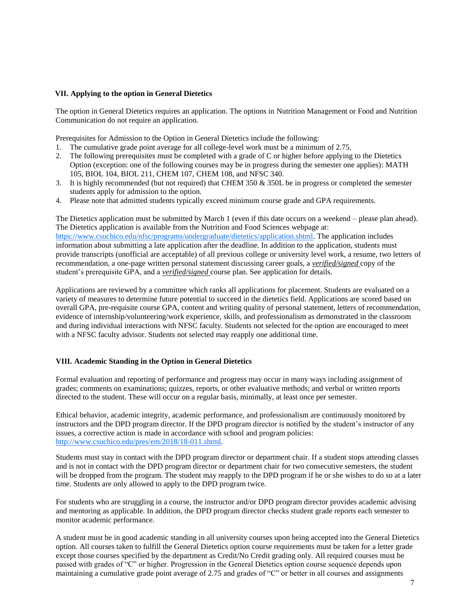#### **VII. Applying to the option in General Dietetics**

The option in General Dietetics requires an application. The options in Nutrition Management or Food and Nutrition Communication do not require an application.

Prerequisites for Admission to the Option in General Dietetics include the following:

- 1. The cumulative grade point average for all college-level work must be a minimum of 2.75.
- 2. The following prerequisites must be completed with a grade of C or higher before applying to the Dietetics Option (exception: one of the following courses may be in progress during the semester one applies): MATH 105, BIOL 104, BIOL 211, CHEM 107, CHEM 108, and NFSC 340.
- 3. It is highly recommended (but not required) that CHEM 350 & 350L be in progress or completed the semester students apply for admission to the option.
- 4. Please note that admitted students typically exceed minimum course grade and GPA requirements.

The Dietetics application must be submitted by March 1 (even if this date occurs on a weekend – please plan ahead). The Dietetics application is available from the Nutrition and Food Sciences webpage at: [https://www.csuchico.edu/nfsc/programs/undergraduate/dietetics/application.shtml.](https://www.csuchico.edu/nfsc/programs/undergraduate/dietetics/application.shtml) The application includes information about submitting a late application after the deadline. In addition to the application, students must provide transcripts (unofficial are acceptable) of all previous college or university level work, a resume, two letters of recommendation, a one-page written personal statement discussing career goals, a *verified/signed* copy of the student's prerequisite GPA, and a *verified/signed* course plan. See application for details.

Applications are reviewed by a committee which ranks all applications for placement. Students are evaluated on a variety of measures to determine future potential to succeed in the dietetics field. Applications are scored based on overall GPA, pre-requisite course GPA, content and writing quality of personal statement, letters of recommendation, evidence of internship/volunteering/work experience, skills, and professionalism as demonstrated in the classroom and during individual interactions with NFSC faculty. Students not selected for the option are encouraged to meet with a NFSC faculty advisor. Students not selected may reapply one additional time.

#### **VIII. Academic Standing in the Option in General Dietetics**

Formal evaluation and reporting of performance and progress may occur in many ways including assignment of grades; comments on examinations; quizzes, reports, or other evaluative methods; and verbal or written reports directed to the student. These will occur on a regular basis, minimally, at least once per semester.

Ethical behavior, academic integrity, academic performance, and professionalism are continuously monitored by instructors and the DPD program director. If the DPD program director is notified by the student's instructor of any issues, a corrective action is made in accordance with school and program policies: [http://www.csuchico.edu/pres/em/2018/18-011.shtml.](http://www.csuchico.edu/pres/em/2018/18-011.shtml)

Students must stay in contact with the DPD program director or department chair. If a student stops attending classes and is not in contact with the DPD program director or department chair for two consecutive semesters, the student will be dropped from the program. The student may reapply to the DPD program if he or she wishes to do so at a later time. Students are only allowed to apply to the DPD program twice.

For students who are struggling in a course, the instructor and/or DPD program director provides academic advising and mentoring as applicable. In addition, the DPD program director checks student grade reports each semester to monitor academic performance.

A student must be in good academic standing in all university courses upon being accepted into the General Dietetics option. All courses taken to fulfill the General Dietetics option course requirements must be taken for a letter grade except those courses specified by the department as Credit/No Credit grading only. All required courses must be passed with grades of "C" or higher. Progression in the General Dietetics option course sequence depends upon maintaining a cumulative grade point average of 2.75 and grades of "C" or better in all courses and assignments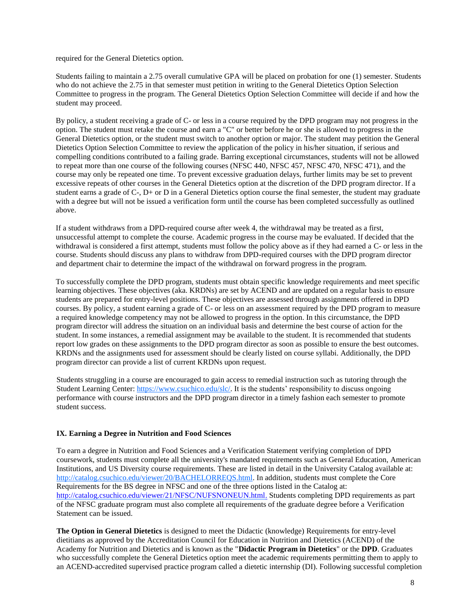required for the General Dietetics option.

Students failing to maintain a 2.75 overall cumulative GPA will be placed on probation for one (1) semester. Students who do not achieve the 2.75 in that semester must petition in writing to the General Dietetics Option Selection Committee to progress in the program. The General Dietetics Option Selection Committee will decide if and how the student may proceed.

By policy, a student receiving a grade of C- or less in a course required by the DPD program may not progress in the option. The student must retake the course and earn a "C" or better before he or she is allowed to progress in the General Dietetics option, or the student must switch to another option or major. The student may petition the General Dietetics Option Selection Committee to review the application of the policy in his/her situation, if serious and compelling conditions contributed to a failing grade. Barring exceptional circumstances, students will not be allowed to repeat more than one course of the following courses (NFSC 440, NFSC 457, NFSC 470, NFSC 471), and the course may only be repeated one time. To prevent excessive graduation delays, further limits may be set to prevent excessive repeats of other courses in the General Dietetics option at the discretion of the DPD program director. If a student earns a grade of C-, D+ or D in a General Dietetics option course the final semester, the student may graduate with a degree but will not be issued a verification form until the course has been completed successfully as outlined above.

If a student withdraws from a DPD-required course after week 4, the withdrawal may be treated as a first, unsuccessful attempt to complete the course. Academic progress in the course may be evaluated. If decided that the withdrawal is considered a first attempt, students must follow the policy above as if they had earned a C- or less in the course. Students should discuss any plans to withdraw from DPD-required courses with the DPD program director and department chair to determine the impact of the withdrawal on forward progress in the program.

To successfully complete the DPD program, students must obtain specific knowledge requirements and meet specific learning objectives. These objectives (aka. KRDNs) are set by ACEND and are updated on a regular basis to ensure students are prepared for entry-level positions. These objectives are assessed through assignments offered in DPD courses. By policy, a student earning a grade of C- or less on an assessment required by the DPD program to measure a required knowledge competency may not be allowed to progress in the option. In this circumstance, the DPD program director will address the situation on an individual basis and determine the best course of action for the student. In some instances, a remedial assignment may be available to the student. It is recommended that students report low grades on these assignments to the DPD program director as soon as possible to ensure the best outcomes. KRDNs and the assignments used for assessment should be clearly listed on course syllabi. Additionally, the DPD program director can provide a list of current KRDNs upon request.

Students struggling in a course are encouraged to gain access to remedial instruction such as tutoring through the Student Learning Center: [https://www.csuchico.edu/slc/.](https://www.csuchico.edu/slc/) It is the students' responsibility to discuss ongoing performance with course instructors and the DPD program director in a timely fashion each semester to promote student success.

# **IX. Earning a Degree in Nutrition and Food Sciences**

To earn a degree in Nutrition and Food Sciences and a Verification Statement verifying completion of DPD coursework, students must complete all the university's mandated requirements such as General Education, American Institutions, and US Diversity course requirements. These are listed in detail in the University Catalog available at: [http://catalog.csuchico.edu/viewer/20/BACHELORREQS.html.](http://catalog.csuchico.edu/viewer/20/BACHELORREQS.html) In addition, students must complete the Core Requirements for the BS degree in NFSC and one of the three options listed in the Catalog at: <http://catalog.csuchico.edu/viewer/21/NFSC/NUFSNONEUN.html.> Students completing DPD requirements as part of the NFSC graduate program must also complete all requirements of the graduate degree before a Verification Statement can be issued.

**The Option in General Dietetics** is designed to meet the Didactic (knowledge) Requirements for entry-level dietitians as approved by the Accreditation Council for Education in Nutrition and Dietetics (ACEND) of the Academy for Nutrition and Dietetics and is known as the "**Didactic Program in Dietetics**" or the **DPD**. Graduates who successfully complete the General Dietetics option meet the academic requirements permitting them to apply to an ACEND-accredited supervised practice program called a dietetic internship (DI). Following successful completion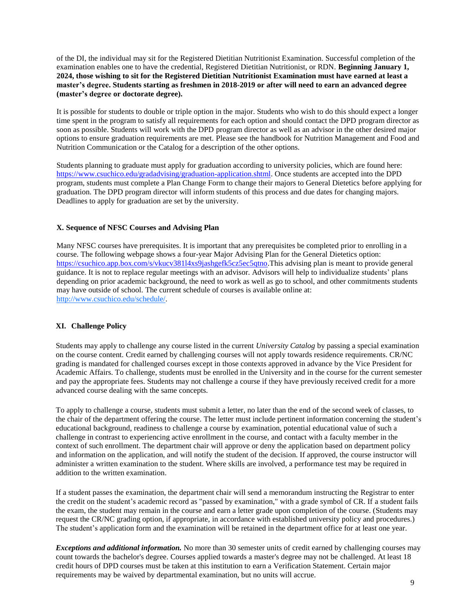of the DI, the individual may sit for the Registered Dietitian Nutritionist Examination. Successful completion of the examination enables one to have the credential, Registered Dietitian Nutritionist, or RDN. **Beginning January 1, 2024, those wishing to sit for the Registered Dietitian Nutritionist Examination must have earned at least a master's degree. Students starting as freshmen in 2018-2019 or after will need to earn an advanced degree (master's degree or doctorate degree).**

It is possible for students to double or triple option in the major. Students who wish to do this should expect a longer time spent in the program to satisfy all requirements for each option and should contact the DPD program director as soon as possible. Students will work with the DPD program director as well as an advisor in the other desired major options to ensure graduation requirements are met. Please see the handbook for Nutrition Management and Food and Nutrition Communication or the Catalog for a description of the other options.

Students planning to graduate must apply for graduation according to university policies, which are found here: [https://www.csuchico.edu/gradadvising/graduation-application.shtml.](https://www.csuchico.edu/gradadvising/graduation-application.shtml) Once students are accepted into the DPD program, students must complete a Plan Change Form to change their majors to General Dietetics before applying for graduation. The DPD program director will inform students of this process and due dates for changing majors. Deadlines to apply for graduation are set by the university.

#### **X. Sequence of NFSC Courses and Advising Plan**

Many NFSC courses have prerequisites. It is important that any prerequisites be completed prior to enrolling in a course. The following webpage shows a four-year Major Advising Plan for the General Dietetics option: [https://csuchico.app.box.com/s/vkucv381l4xs9jashgefk5cz5ec5qtno.](https://csuchico.app.box.com/s/vkucv381l4xs9jashgefk5cz5ec5qtno)This advising plan is meant to provide general guidance. It is not to replace regular meetings with an advisor. Advisors will help to individualize students' plans depending on prior academic background, the need to work as well as go to school, and other commitments students may have outside of school. The current schedule of courses is available online at: [http://www.csuchico.edu/schedule/.](http://www.csuchico.edu/schedule/)

# **XI. Challenge Policy**

Students may apply to challenge any course listed in the current *University Catalog* by passing a special examination on the course content. Credit earned by challenging courses will not apply towards residence requirements. CR/NC grading is mandated for challenged courses except in those contexts approved in advance by the Vice President for Academic Affairs. To challenge, students must be enrolled in the University and in the course for the current semester and pay the appropriate fees. Students may not challenge a course if they have previously received credit for a more advanced course dealing with the same concepts.

To apply to challenge a course, students must submit a letter, no later than the end of the second week of classes, to the chair of the department offering the course. The letter must include pertinent information concerning the student's educational background, readiness to challenge a course by examination, potential educational value of such a challenge in contrast to experiencing active enrollment in the course, and contact with a faculty member in the context of such enrollment. The department chair will approve or deny the application based on department policy and information on the application, and will notify the student of the decision. If approved, the course instructor will administer a written examination to the student. Where skills are involved, a performance test may be required in addition to the written examination.

If a student passes the examination, the department chair will send a memorandum instructing the Registrar to enter the credit on the student's academic record as "passed by examination," with a grade symbol of CR. If a student fails the exam, the student may remain in the course and earn a letter grade upon completion of the course. (Students may request the CR/NC grading option, if appropriate, in accordance with established university policy and procedures.) The student's application form and the examination will be retained in the department office for at least one year.

*Exceptions and additional information.* No more than 30 semester units of credit earned by challenging courses may count towards the bachelor's degree. Courses applied towards a master's degree may not be challenged. At least 18 credit hours of DPD courses must be taken at this institution to earn a Verification Statement. Certain major requirements may be waived by departmental examination, but no units will accrue.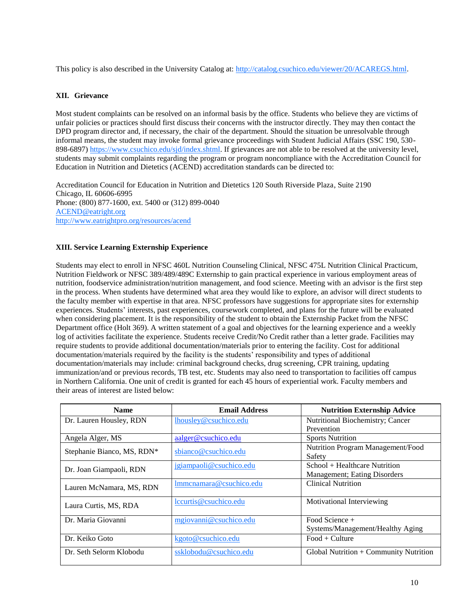This policy is also described in the University Catalog at: [http://catalog.csuchico.edu/viewer/20/ACAREGS.html.](http://catalog.csuchico.edu/viewer/20/ACAREGS.html)

# **XII. Grievance**

Most student complaints can be resolved on an informal basis by the office. Students who believe they are victims of unfair policies or practices should first discuss their concerns with the instructor directly. They may then contact the DPD program director and, if necessary, the chair of the department. Should the situation be unresolvable through informal means, the student may invoke formal grievance proceedings with Student Judicial Affairs (SSC 190, 530- 898-6897) [https://www.csuchico.edu/sjd/index.shtml.](https://www.csuchico.edu/sjd/index.shtml) If grievances are not able to be resolved at the university level, students may submit complaints regarding the program or program noncompliance with the Accreditation Council for Education in Nutrition and Dietetics (ACEND) accreditation standards can be directed to:

Accreditation Council for Education in Nutrition and Dietetics 120 South Riverside Plaza, Suite 2190 Chicago, IL 60606-6995 Phone: (800) 877-1600, ext. 5400 or (312) 899-0040 [ACEND@eatright.org](mailto:ACEND@eatright.org) <http://www.eatrightpro.org/resources/acend>

# **XIII. Service Learning Externship Experience**

Students may elect to enroll in NFSC 460L Nutrition Counseling Clinical, NFSC 475L Nutrition Clinical Practicum, Nutrition Fieldwork or NFSC 389/489/489C Externship to gain practical experience in various employment areas of nutrition, foodservice administration/nutrition management, and food science. Meeting with an advisor is the first step in the process. When students have determined what area they would like to explore, an advisor will direct students to the faculty member with expertise in that area. NFSC professors have suggestions for appropriate sites for externship experiences. Students' interests, past experiences, coursework completed, and plans for the future will be evaluated when considering placement. It is the responsibility of the student to obtain the Externship Packet from the NFSC Department office (Holt 369). A written statement of a goal and objectives for the learning experience and a weekly log of activities facilitate the experience. Students receive Credit/No Credit rather than a letter grade. Facilities may require students to provide additional documentation/materials prior to entering the facility. Cost for additional documentation/materials required by the facility is the students' responsibility and types of additional documentation/materials may include: criminal background checks, drug screening, CPR training, updating immunization/and or previous records, TB test, etc. Students may also need to transportation to facilities off campus in Northern California. One unit of credit is granted for each 45 hours of experiential work. Faculty members and their areas of interest are listed below:

| <b>Name</b>                | <b>Email Address</b>    | <b>Nutrition Externship Advice</b>     |
|----------------------------|-------------------------|----------------------------------------|
| Dr. Lauren Housley, RDN    | lhousley@csuchico.edu   | Nutritional Biochemistry; Cancer       |
|                            |                         | Prevention                             |
| Angela Alger, MS           | aalger@csuchico.edu     | <b>Sports Nutrition</b>                |
| Stephanie Bianco, MS, RDN* | sbianco@csuchico.edu    | Nutrition Program Management/Food      |
|                            |                         | Safety                                 |
| Dr. Joan Giampaoli, RDN    | jgiampaoli@csuchico.edu | School + Healthcare Nutrition          |
|                            |                         | Management; Eating Disorders           |
| Lauren McNamara, MS, RDN   | Immcnamara@csuchico.edu | <b>Clinical Nutrition</b>              |
|                            |                         |                                        |
| Laura Curtis, MS, RDA      | lccurtis@csuchico.edu   | Motivational Interviewing              |
|                            |                         |                                        |
| Dr. Maria Giovanni         | mgiovanni@csuchico.edu  | Food Science $+$                       |
|                            |                         | Systems/Management/Healthy Aging       |
| Dr. Keiko Goto             | kgoto@csuchico.edu      | $Food + Culture$                       |
|                            |                         |                                        |
| Dr. Seth Selorm Klobodu    | ssklobodu@csuchico.edu  | Global Nutrition + Community Nutrition |
|                            |                         |                                        |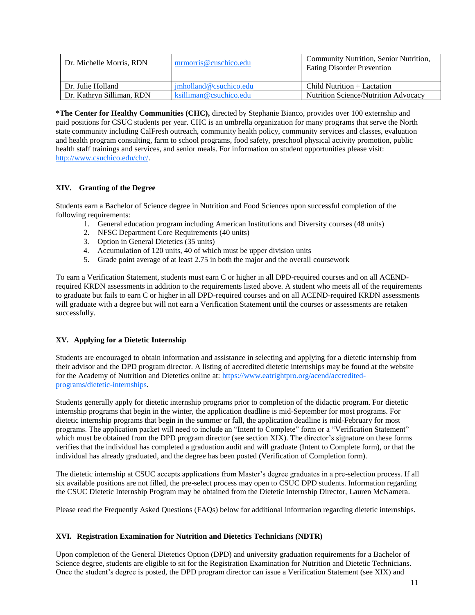| Dr. Michelle Morris, RDN  | mrmorris@cuschico.edu                               | Community Nutrition, Senior Nutrition.<br>Eating Disorder Prevention |
|---------------------------|-----------------------------------------------------|----------------------------------------------------------------------|
| Dr. Julie Holland         | imholland@c<br>suchico.edu                          | Child Nutrition + Lactation                                          |
| Dr. Kathryn Silliman, RDN | $\ket{\text{ksiliman}\omega_{\text{csuchico.edu}}}$ | Nutrition Science/Nutrition Advocacy                                 |

**\*The Center for Healthy Communities (CHC),** directed by Stephanie Bianco, provides over 100 externship and paid positions for CSUC students per year. CHC is an umbrella organization for many programs that serve the North state community including CalFresh outreach, community health policy, community services and classes, evaluation and health program consulting, farm to school programs, food safety, preschool physical activity promotion, public health staff trainings and services, and senior meals. For information on student opportunities please visit: [http://www.csuchico.edu/chc/.](http://www.csuchico.edu/chc/)

# **XIV. Granting of the Degree**

Students earn a Bachelor of Science degree in Nutrition and Food Sciences upon successful completion of the following requirements:

- 1. General education program including American Institutions and Diversity courses (48 units)
- 2. NFSC Department Core Requirements (40 units)
- 3. Option in General Dietetics (35 units)
- 4. Accumulation of 120 units, 40 of which must be upper division units
- 5. Grade point average of at least 2.75 in both the major and the overall coursework

To earn a Verification Statement, students must earn C or higher in all DPD-required courses and on all ACENDrequired KRDN assessments in addition to the requirements listed above. A student who meets all of the requirements to graduate but fails to earn C or higher in all DPD-required courses and on all ACEND-required KRDN assessments will graduate with a degree but will not earn a Verification Statement until the courses or assessments are retaken successfully.

# **XV. Applying for a Dietetic Internship**

Students are encouraged to obtain information and assistance in selecting and applying for a dietetic internship from their advisor and the DPD program director. A listing of accredited dietetic internships may be found at the website for the Academy of Nutrition and Dietetics online at: [https://www.eatrightpro.org/acend/accredited](https://www.eatrightpro.org/acend/accredited-programs/dietetic-internships)[programs/dietetic-internships.](https://www.eatrightpro.org/acend/accredited-programs/dietetic-internships)

Students generally apply for dietetic internship programs prior to completion of the didactic program. For dietetic internship programs that begin in the winter, the application deadline is mid-September for most programs. For dietetic internship programs that begin in the summer or fall, the application deadline is mid-February for most programs. The application packet will need to include an "Intent to Complete" form or a "Verification Statement" which must be obtained from the DPD program director (see section XIX). The director's signature on these forms verifies that the individual has completed a graduation audit and will graduate (Intent to Complete form), or that the individual has already graduated, and the degree has been posted (Verification of Completion form).

The dietetic internship at CSUC accepts applications from Master's degree graduates in a pre-selection process. If all six available positions are not filled, the pre-select process may open to CSUC DPD students. Information regarding the CSUC Dietetic Internship Program may be obtained from the Dietetic Internship Director, Lauren McNamera.

Please read the Frequently Asked Questions (FAQs) below for additional information regarding dietetic internships.

# **XVI. Registration Examination for Nutrition and Dietetics Technicians (NDTR)**

Upon completion of the General Dietetics Option (DPD) and university graduation requirements for a Bachelor of Science degree, students are eligible to sit for the Registration Examination for Nutrition and Dietetic Technicians. Once the student's degree is posted, the DPD program director can issue a Verification Statement (see XIX) and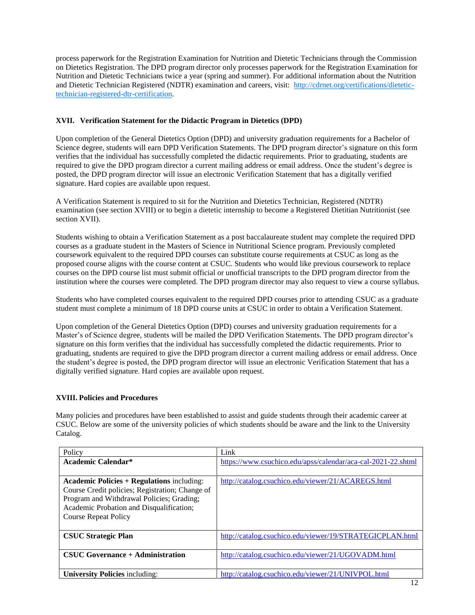process paperwork for the Registration Examination for Nutrition and Dietetic Technicians through the Commission on Dietetics Registration. The DPD program director only processes paperwork for the Registration Examination for Nutrition and Dietetic Technicians twice a year (spring and summer). For additional information about the Nutrition and Dietetic Technician Registered (NDTR) examination and careers, visit: [http://cdrnet.org/certifications/dietetic](http://cdrnet.org/certifications/dietetic-technician-registered-dtr-certification)[technician-registered-dtr-certification.](http://cdrnet.org/certifications/dietetic-technician-registered-dtr-certification)

# **XVII. Verification Statement for the Didactic Program in Dietetics (DPD)**

Upon completion of the General Dietetics Option (DPD) and university graduation requirements for a Bachelor of Science degree, students will earn DPD Verification Statements. The DPD program director's signature on this form verifies that the individual has successfully completed the didactic requirements. Prior to graduating, students are required to give the DPD program director a current mailing address or email address. Once the student's degree is posted, the DPD program director will issue an electronic Verification Statement that has a digitally verified signature. Hard copies are available upon request.

A Verification Statement is required to sit for the Nutrition and Dietetics Technician, Registered (NDTR) examination (see section XVIII) or to begin a dietetic internship to become a Registered Dietitian Nutritionist (see section XVII).

Students wishing to obtain a Verification Statement as a post baccalaureate student may complete the required DPD courses as a graduate student in the Masters of Science in Nutritional Science program. Previously completed coursework equivalent to the required DPD courses can substitute course requirements at CSUC as long as the proposed course aligns with the course content at CSUC. Students who would like previous coursework to replace courses on the DPD course list must submit official or unofficial transcripts to the DPD program director from the institution where the courses were completed. The DPD program director may also request to view a course syllabus.

Students who have completed courses equivalent to the required DPD courses prior to attending CSUC as a graduate student must complete a minimum of 18 DPD course units at CSUC in order to obtain a Verification Statement.

Upon completion of the General Dietetics Option (DPD) courses and university graduation requirements for a Master's of Science degree, students will be mailed the DPD Verification Statements. The DPD program director's signature on this form verifies that the individual has successfully completed the didactic requirements. Prior to graduating, students are required to give the DPD program director a current mailing address or email address. Once the student's degree is posted, the DPD program director will issue an electronic Verification Statement that has a digitally verified signature. Hard copies are available upon request.

# **XVIII. Policies and Procedures**

Many policies and procedures have been established to assist and guide students through their academic career at CSUC. Below are some of the university policies of which students should be aware and the link to the University Catalog.

| Policy                                                                                                                                                                                                                       | Link                                                         |
|------------------------------------------------------------------------------------------------------------------------------------------------------------------------------------------------------------------------------|--------------------------------------------------------------|
| Academic Calendar*                                                                                                                                                                                                           | https://www.csuchico.edu/apss/calendar/aca-cal-2021-22.shtml |
|                                                                                                                                                                                                                              |                                                              |
| <b>Academic Policies + Regulations including:</b><br>Course Credit policies; Registration; Change of<br>Program and Withdrawal Policies; Grading;<br>Academic Probation and Disqualification;<br><b>Course Repeat Policy</b> | http://catalog.csuchico.edu/viewer/21/ACAREGS.html           |
| <b>CSUC Strategic Plan</b>                                                                                                                                                                                                   | http://catalog.csuchico.edu/viewer/19/STRATEGICPLAN.html     |
| <b>CSUC Governance + Administration</b>                                                                                                                                                                                      | http://catalog.csuchico.edu/viewer/21/UGOVADM.html           |
| <b>University Policies including:</b>                                                                                                                                                                                        | http://catalog.csuchico.edu/viewer/21/UNIVPOL.html           |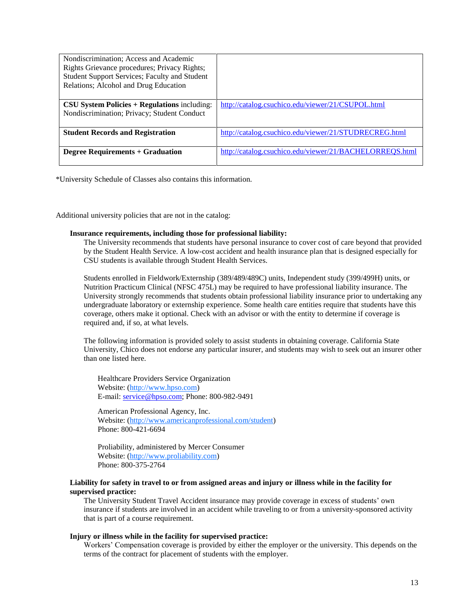| Nondiscrimination; Access and Academic<br>Rights Grievance procedures; Privacy Rights;<br>Student Support Services; Faculty and Student<br>Relations; Alcohol and Drug Education |                                                         |
|----------------------------------------------------------------------------------------------------------------------------------------------------------------------------------|---------------------------------------------------------|
| $\text{CSU}$ System Policies + Regulations including:<br>Nondiscrimination; Privacy; Student Conduct                                                                             | http://catalog.csuchico.edu/viewer/21/CSUPOL.html       |
| <b>Student Records and Registration</b>                                                                                                                                          | http://catalog.csuchico.edu/viewer/21/STUDRECREG.html   |
| <b>Degree Requirements + Graduation</b>                                                                                                                                          | http://catalog.csuchico.edu/viewer/21/BACHELORREQS.html |

\*University Schedule of Classes also contains this information.

Additional university policies that are not in the catalog:

#### **Insurance requirements, including those for professional liability:**

The University recommends that students have personal insurance to cover cost of care beyond that provided by the Student Health Service. A low-cost accident and health insurance plan that is designed especially for CSU students is available through Student Health Services.

Students enrolled in Fieldwork/Externship (389/489/489C) units, Independent study (399/499H) units, or Nutrition Practicum Clinical (NFSC 475L) may be required to have professional liability insurance. The University strongly recommends that students obtain professional liability insurance prior to undertaking any undergraduate laboratory or externship experience. Some health care entities require that students have this coverage, others make it optional. Check with an advisor or with the entity to determine if coverage is required and, if so, at what levels.

The following information is provided solely to assist students in obtaining coverage. California State University, Chico does not endorse any particular insurer, and students may wish to seek out an insurer other than one listed here.

Healthcare Providers Service Organization Website: [\(http://www.hpso.com\)](http://www.hpso.com/) E-mail: service@hpso.com; Phone: 800-982-9491

American Professional Agency, Inc. Website: [\(http://www.americanprofessional.com/student\)](http://www.americanprofessional.com/student) Phone: 800-421-6694

Proliability, administered by Mercer Consumer Website: [\(http://www.proliability.com\)](http://www.proliability.com/) Phone: 800-375-2764

# **Liability for safety in travel to or from assigned areas and injury or illness while in the facility for supervised practice:**

The University Student Travel Accident insurance may provide coverage in excess of students' own insurance if students are involved in an accident while traveling to or from a university-sponsored activity that is part of a course requirement.

#### **Injury or illness while in the facility for supervised practice:**

Workers' Compensation coverage is provided by either the employer or the university. This depends on the terms of the contract for placement of students with the employer.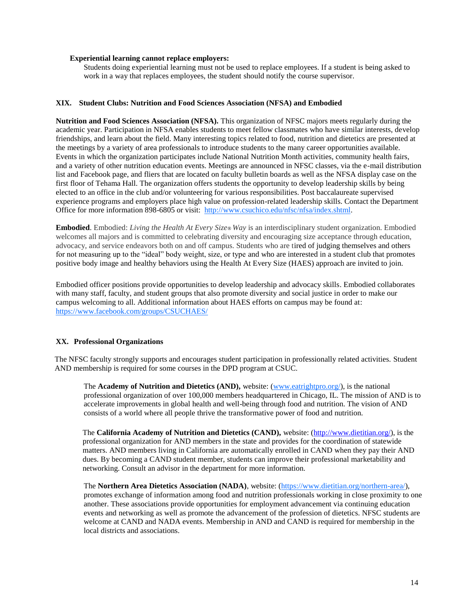#### **Experiential learning cannot replace employers:**

Students doing experiential learning must not be used to replace employees. If a student is being asked to work in a way that replaces employees, the student should notify the course supervisor.

#### **XIX. Student Clubs: Nutrition and Food Sciences Association (NFSA) and Embodied**

**Nutrition and Food Sciences Association (NFSA).** This organization of NFSC majors meets regularly during the academic year. Participation in NFSA enables students to meet fellow classmates who have similar interests, develop friendships, and learn about the field. Many interesting topics related to food, nutrition and dietetics are presented at the meetings by a variety of area professionals to introduce students to the many career opportunities available. Events in which the organization participates include National Nutrition Month activities, community health fairs, and a variety of other nutrition education events. Meetings are announced in NFSC classes, via the e-mail distribution list and Facebook page, and fliers that are located on faculty bulletin boards as well as the NFSA display case on the first floor of Tehama Hall. The organization offers students the opportunity to develop leadership skills by being elected to an office in the club and/or volunteering for various responsibilities. Post baccalaureate supervised experience programs and employers place high value on profession-related leadership skills. Contact the Department Office for more information 898-6805 or visit: [http://www.csuchico.edu/nfsc/nfsa/index.shtml.](http://www.csuchico.edu/nfsc/nfsa/index.shtml)

**Embodied**. Embodied: *Living the Health At Every Size® Way* is an interdisciplinary student organization. Embodied welcomes all majors and is committed to celebrating diversity and encouraging size acceptance through education, advocacy, and service endeavors both on and off campus. Students who are tired of judging themselves and others for not measuring up to the "ideal" body weight, size, or type and who are interested in a student club that promotes positive body image and healthy behaviors using the Health At Every Size (HAES) approach are invited to join.

Embodied officer positions provide opportunities to develop leadership and advocacy skills. Embodied collaborates with many staff, faculty, and student groups that also promote diversity and social justice in order to make our campus welcoming to all. Additional information about HAES efforts on campus may be found at: <https://www.facebook.com/groups/CSUCHAES/>

#### **XX. Professional Organizations**

The NFSC faculty strongly supports and encourages student participation in professionally related activities. Student AND membership is required for some courses in the DPD program at CSUC.

The **Academy of Nutrition and Dietetics (AND),** website: [\(www.eatrightpro.org/\)](http://www.eatrightpro.org/), is the national professional organization of over 100,000 members headquartered in Chicago, IL. The mission of AND is to accelerate improvements in global health and well-being through food and nutrition. The vision of AND consists of a world where all people thrive the transformative power of food and nutrition.

The **California Academy of Nutrition and Dietetics (CAND),** website: [\(http://www.dietitian.org/\)](http://www.dietitian.org/), is the professional organization for AND members in the state and provides for the coordination of statewide matters. AND members living in California are automatically enrolled in CAND when they pay their AND dues. By becoming a CAND student member, students can improve their professional marketability and networking. Consult an advisor in the department for more information.

The **Northern Area Dietetics Association (NADA)**, website: [\(https://www.dietitian.org/northern-area/\)](https://www.dietitian.org/northern-area/), promotes exchange of information among food and nutrition professionals working in close proximity to one another. These associations provide opportunities for employment advancement via continuing education events and networking as well as promote the advancement of the profession of dietetics. NFSC students are welcome at CAND and NADA events. Membership in AND and CAND is required for membership in the local districts and associations.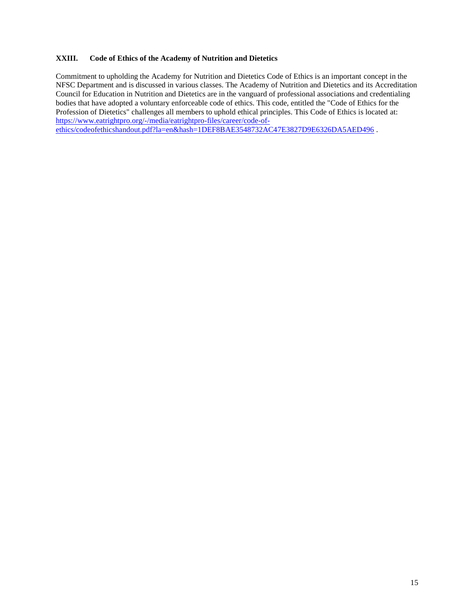#### **XXIII. Code of Ethics of the Academy of Nutrition and Dietetics**

Commitment to upholding the Academy for Nutrition and Dietetics Code of Ethics is an important concept in the NFSC Department and is discussed in various classes. The Academy of Nutrition and Dietetics and its Accreditation Council for Education in Nutrition and Dietetics are in the vanguard of professional associations and credentialing bodies that have adopted a voluntary enforceable code of ethics. This code, entitled the "Code of Ethics for the Profession of Dietetics" challenges all members to uphold ethical principles. This Code of Ethics is located at: [https://www.eatrightpro.org/-/media/eatrightpro-files/career/code-of](https://www.eatrightpro.org/-/media/eatrightpro-files/career/code-of-ethics/codeofethicshandout.pdf?la=en&hash=1DEF8BAE3548732AC47E3827D9E6326DA5AED496)[ethics/codeofethicshandout.pdf?la=en&hash=1DEF8BAE3548732AC47E3827D9E6326DA5AED496](https://www.eatrightpro.org/-/media/eatrightpro-files/career/code-of-ethics/codeofethicshandout.pdf?la=en&hash=1DEF8BAE3548732AC47E3827D9E6326DA5AED496) .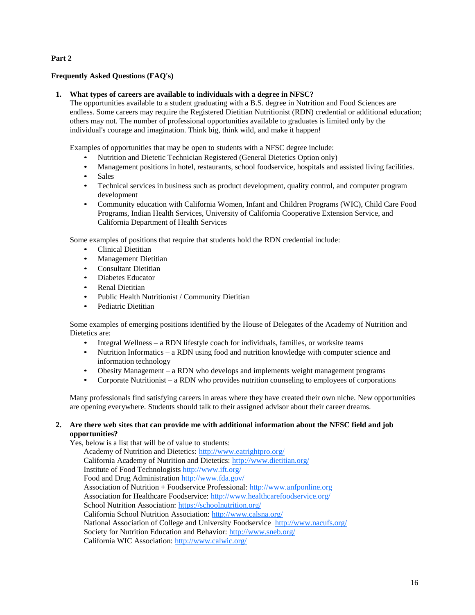# **Part 2**

# **Frequently Asked Questions (FAQ's)**

# **1. What types of careers are available to individuals with a degree in NFSC?**

The opportunities available to a student graduating with a B.S. degree in Nutrition and Food Sciences are endless. Some careers may require the Registered Dietitian Nutritionist (RDN) credential or additional education; others may not. The number of professional opportunities available to graduates is limited only by the individual's courage and imagination. Think big, think wild, and make it happen!

Examples of opportunities that may be open to students with a NFSC degree include:

- Nutrition and Dietetic Technician Registered (General Dietetics Option only)
- Management positions in hotel, restaurants, school foodservice, hospitals and assisted living facilities.
- Sales
- Technical services in business such as product development, quality control, and computer program development
- Community education with California Women, Infant and Children Programs (WIC), Child Care Food Programs, Indian Health Services, University of California Cooperative Extension Service, and California Department of Health Services

Some examples of positions that require that students hold the RDN credential include:

- Clinical Dietitian
- Management Dietitian
- Consultant Dietitian
- Diabetes Educator
- Renal Dietitian
- Public Health Nutritionist / Community Dietitian
- Pediatric Dietitian

Some examples of emerging positions identified by the House of Delegates of the Academy of Nutrition and Dietetics are:

- Integral Wellness a RDN lifestyle coach for individuals, families, or worksite teams
- Nutrition Informatics a RDN using food and nutrition knowledge with computer science and information technology
- Obesity Management a RDN who develops and implements weight management programs
- Corporate Nutritionist a RDN who provides nutrition counseling to employees of corporations

Many professionals find satisfying careers in areas where they have created their own niche. New opportunities are opening everywhere. Students should talk to their assigned advisor about their career dreams.

#### **2. Are there web sites that can provide me with additional information about the NFSC field and job opportunities?**

Yes, below is a list that will be of value to students:

Academy of Nutrition and Dietetics:<http://www.eatrightpro.org/> California Academy of Nutrition and Dietetics:<http://www.dietitian.org/> Institute of Food Technologist[s http://www.ift.org/](http://www.ift.org/) Food and Drug Administration<http://www.fda.gov/> Association of Nutrition + Foodservice Professional: [http://www.anfponline.org](http://www.anfponline.org/) Association for Healthcare Foodservice: http://www.healthcarefoodservice.org/ School Nutrition Association:<https://schoolnutrition.org/> California School Nutrition Association:<http://www.calsna.org/> National Association of College and University Foodservice<http://www.nacufs.org/> Society for Nutrition Education and Behavior:<http://www.sneb.org/> California WIC Association:<http://www.calwic.org/>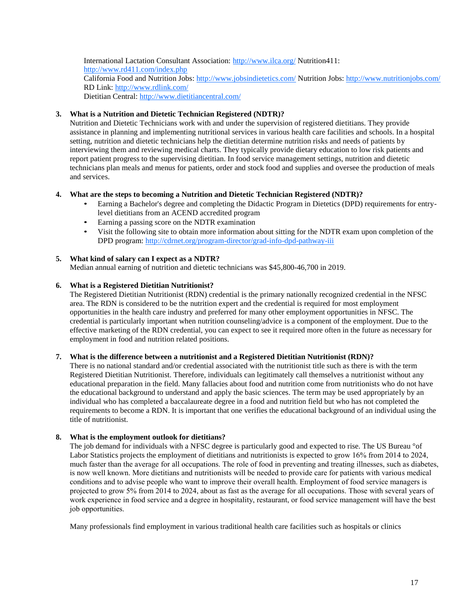International Lactation Consultant Association:<http://www.ilca.org/> Nutrition411: <http://www.rd411.com/index.php> California Food and Nutrition Jobs:<http://www.jobsindietetics.com/> Nutrition Jobs:<http://www.nutritionjobs.com/> RD Link:<http://www.rdlink.com/> Dietitian Central:<http://www.dietitiancentral.com/>

# **3. What is a Nutrition and Dietetic Technician Registered (NDTR)?**

Nutrition and Dietetic Technicians work with and under the supervision of registered dietitians. They provide assistance in planning and implementing nutritional services in various health care facilities and schools. In a hospital setting, nutrition and dietetic technicians help the dietitian determine nutrition risks and needs of patients by interviewing them and reviewing medical charts. They typically provide dietary education to low risk patients and report patient progress to the supervising dietitian. In food service management settings, nutrition and dietetic technicians plan meals and menus for patients, order and stock food and supplies and oversee the production of meals and services.

# **4. What are the steps to becoming a Nutrition and Dietetic Technician Registered (NDTR)?**

- Earning a Bachelor's degree and completing the Didactic Program in Dietetics (DPD) requirements for entrylevel dietitians from an ACEND accredited program
- Earning a passing score on the NDTR examination
- Visit the following site to obtain more information about sitting for the NDTR exam upon completion of the DPD program[: http://cdrnet.org/program-director/grad-info-dpd-pathway-iii](http://cdrnet.org/program-director/grad-info-dpd-pathway-iii)

# **5. What kind of salary can I expect as a NDTR?**

Median annual earning of nutrition and dietetic technicians was \$45,800-46,700 in 2019.

# **6. What is a Registered Dietitian Nutritionist?**

The Registered Dietitian Nutritionist (RDN) credential is the primary nationally recognized credential in the NFSC area. The RDN is considered to be the nutrition expert and the credential is required for most employment opportunities in the health care industry and preferred for many other employment opportunities in NFSC. The credential is particularly important when nutrition counseling/advice is a component of the employment. Due to the effective marketing of the RDN credential, you can expect to see it required more often in the future as necessary for employment in food and nutrition related positions.

# **7. What is the difference between a nutritionist and a Registered Dietitian Nutritionist (RDN)?**

There is no national standard and/or credential associated with the nutritionist title such as there is with the term Registered Dietitian Nutritionist. Therefore, individuals can legitimately call themselves a nutritionist without any educational preparation in the field. Many fallacies about food and nutrition come from nutritionists who do not have the educational background to understand and apply the basic sciences. The term may be used appropriately by an individual who has completed a baccalaureate degree in a food and nutrition field but who has not completed the requirements to become a RDN. It is important that one verifies the educational background of an individual using the title of nutritionist.

# **8. What is the employment outlook for dietitians?**

The job demand for individuals with a NFSC degree is particularly good and expected to rise. The US Bureau °of Labor Statistics projects the employment of dietitians and nutritionists is expected to grow 16% from 2014 to 2024, much faster than the average for all occupations. The role of food in preventing and treating illnesses, such as diabetes, is now well known. More dietitians and nutritionists will be needed to provide care for patients with various medical conditions and to advise people who want to improve their overall health. Employment of food service managers is projected to grow 5% from 2014 to 2024, about as fast as the average for all occupations. Those with several years of work experience in food service and a degree in hospitality, restaurant, or food service management will have the best job opportunities.

Many professionals find employment in various traditional health care facilities such as hospitals or clinics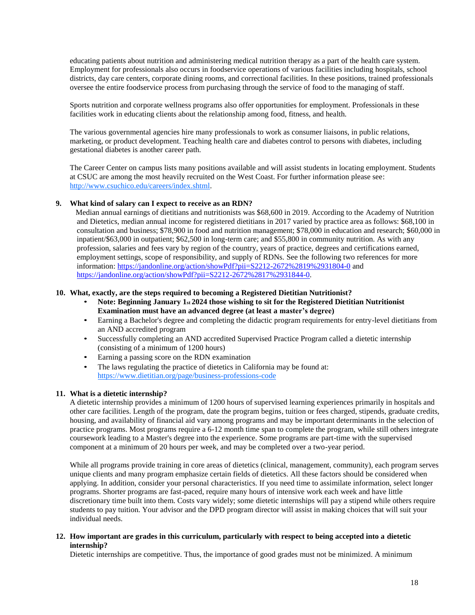educating patients about nutrition and administering medical nutrition therapy as a part of the health care system. Employment for professionals also occurs in foodservice operations of various facilities including hospitals, school districts, day care centers, corporate dining rooms, and correctional facilities. In these positions, trained professionals oversee the entire foodservice process from purchasing through the service of food to the managing of staff.

Sports nutrition and corporate wellness programs also offer opportunities for employment. Professionals in these facilities work in educating clients about the relationship among food, fitness, and health.

The various governmental agencies hire many professionals to work as consumer liaisons, in public relations, marketing, or product development. Teaching health care and diabetes control to persons with diabetes, including gestational diabetes is another career path.

The Career Center on campus lists many positions available and will assist students in locating employment. Students at CSUC are among the most heavily recruited on the West Coast. For further information please see: [http://www.csuchico.edu/careers/index.shtml.](http://www.csuchico.edu/careers/index.shtml)

# **9. What kind of salary can I expect to receive as an RDN?**

Median annual earnings of dietitians and nutritionists was \$68,600 in 2019. According to the Academy of Nutrition and Dietetics, median annual income for registered dietitians in 2017 varied by practice area as follows: \$68,100 in consultation and business; \$78,900 in food and nutrition management; \$78,000 in education and research; \$60,000 in inpatient/\$63,000 in outpatient; \$62,500 in long-term care; and \$55,800 in community nutrition. As with any profession, salaries and fees vary by region of the country, years of practice, degrees and certifications earned, employment settings, scope of responsibility, and supply of RDNs. See the following two references for more information:<https://jandonline.org/action/showPdf?pii=S2212-2672%2819%2931804-0> and [https://jandonline.org/action/showPdf?pii=S2212-2672%2817%2931844-0.](https://jandonline.org/action/showPdf?pii=S2212-2672%2817%2931844-0)

#### **10. What, exactly, are the steps required to becoming a Registered Dietitian Nutritionist?**

- **Note: Beginning January 1st 2024 those wishing to sit for the Registered Dietitian Nutritionist Examination must have an advanced degree (at least a master's degree)**
- Earning a Bachelor's degree and completing the didactic program requirements for entry-level dietitians from an AND accredited program
- Successfully completing an AND accredited Supervised Practice Program called a dietetic internship (consisting of a minimum of 1200 hours)
- Earning a passing score on the RDN examination
- The laws regulating the practice of dietetics in California may be found at: <https://www.dietitian.org/page/business-professions-code>

#### **11. What is a dietetic internship?**

A dietetic internship provides a minimum of 1200 hours of supervised learning experiences primarily in hospitals and other care facilities. Length of the program, date the program begins, tuition or fees charged, stipends, graduate credits, housing, and availability of financial aid vary among programs and may be important determinants in the selection of practice programs. Most programs require a 6-12 month time span to complete the program, while still others integrate coursework leading to a Master's degree into the experience. Some programs are part-time with the supervised component at a minimum of 20 hours per week, and may be completed over a two-year period.

While all programs provide training in core areas of dietetics (clinical, management, community), each program serves unique clients and many program emphasize certain fields of dietetics. All these factors should be considered when applying. In addition, consider your personal characteristics. If you need time to assimilate information, select longer programs. Shorter programs are fast-paced, require many hours of intensive work each week and have little discretionary time built into them. Costs vary widely; some dietetic internships will pay a stipend while others require students to pay tuition. Your advisor and the DPD program director will assist in making choices that will suit your individual needs.

#### **12. How important are grades in this curriculum, particularly with respect to being accepted into a dietetic internship?**

Dietetic internships are competitive. Thus, the importance of good grades must not be minimized. A minimum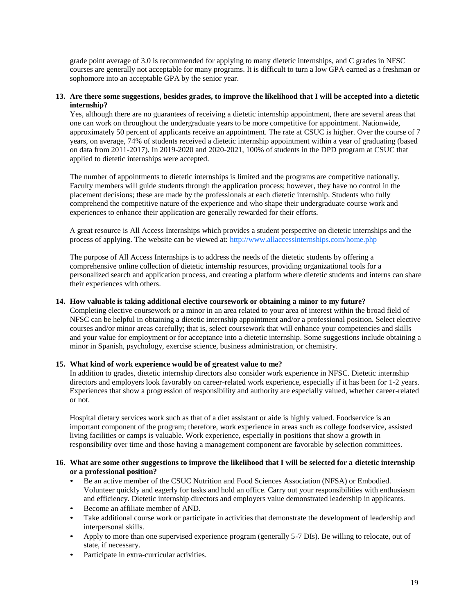grade point average of 3.0 is recommended for applying to many dietetic internships, and C grades in NFSC courses are generally not acceptable for many programs. It is difficult to turn a low GPA earned as a freshman or sophomore into an acceptable GPA by the senior year.

#### **13. Are there some suggestions, besides grades, to improve the likelihood that I will be accepted into a dietetic internship?**

Yes, although there are no guarantees of receiving a dietetic internship appointment, there are several areas that one can work on throughout the undergraduate years to be more competitive for appointment. Nationwide, approximately 50 percent of applicants receive an appointment. The rate at CSUC is higher. Over the course of 7 years, on average, 74% of students received a dietetic internship appointment within a year of graduating (based on data from 2011-2017). In 2019-2020 and 2020-2021, 100% of students in the DPD program at CSUC that applied to dietetic internships were accepted.

The number of appointments to dietetic internships is limited and the programs are competitive nationally. Faculty members will guide students through the application process; however, they have no control in the placement decisions; these are made by the professionals at each dietetic internship. Students who fully comprehend the competitive nature of the experience and who shape their undergraduate course work and experiences to enhance their application are generally rewarded for their efforts.

A great resource is All Access Internships which provides a student perspective on dietetic internships and the process of applying. The website can be viewed at:<http://www.allaccessinternships.com/home.php>

The purpose of All Access Internships is to address the needs of the dietetic students by offering a comprehensive online collection of dietetic internship resources, providing organizational tools for a personalized search and application process, and creating a platform where dietetic students and interns can share their experiences with others.

#### **14. How valuable is taking additional elective coursework or obtaining a minor to my future?**

Completing elective coursework or a minor in an area related to your area of interest within the broad field of NFSC can be helpful in obtaining a dietetic internship appointment and/or a professional position. Select elective courses and/or minor areas carefully; that is, select coursework that will enhance your competencies and skills and your value for employment or for acceptance into a dietetic internship. Some suggestions include obtaining a minor in Spanish, psychology, exercise science, business administration, or chemistry.

# **15. What kind of work experience would be of greatest value to me?**

In addition to grades, dietetic internship directors also consider work experience in NFSC. Dietetic internship directors and employers look favorably on career-related work experience, especially if it has been for 1-2 years. Experiences that show a progression of responsibility and authority are especially valued, whether career-related or not.

Hospital dietary services work such as that of a diet assistant or aide is highly valued. Foodservice is an important component of the program; therefore, work experience in areas such as college foodservice, assisted living facilities or camps is valuable. Work experience, especially in positions that show a growth in responsibility over time and those having a management component are favorable by selection committees.

#### **16. What are some other suggestions to improve the likelihood that I will be selected for a dietetic internship or a professional position?**

- Be an active member of the CSUC Nutrition and Food Sciences Association (NFSA) or Embodied. Volunteer quickly and eagerly for tasks and hold an office. Carry out your responsibilities with enthusiasm and efficiency. Dietetic internship directors and employers value demonstrated leadership in applicants.
- Become an affiliate member of AND.
- Take additional course work or participate in activities that demonstrate the development of leadership and interpersonal skills.
- Apply to more than one supervised experience program (generally 5-7 DIs). Be willing to relocate, out of state, if necessary.
- Participate in extra-curricular activities.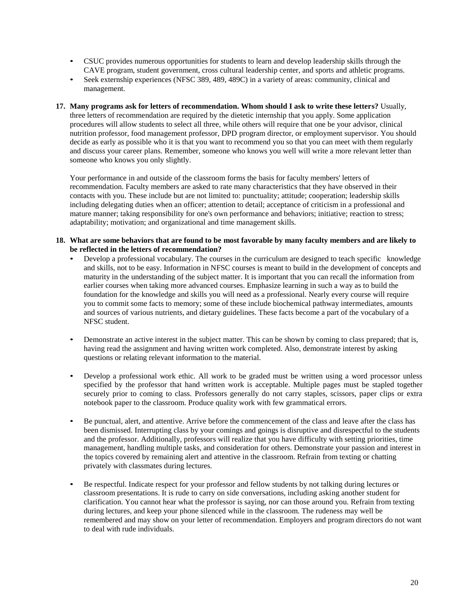- CSUC provides numerous opportunities for students to learn and develop leadership skills through the CAVE program, student government, cross cultural leadership center, and sports and athletic programs.
- Seek externship experiences (NFSC 389, 489, 489C) in a variety of areas: community, clinical and management.
- **17. Many programs ask for letters of recommendation. Whom should I ask to write these letters?** Usually, three letters of recommendation are required by the dietetic internship that you apply. Some application procedures will allow students to select all three, while others will require that one be your advisor, clinical nutrition professor, food management professor, DPD program director, or employment supervisor. You should decide as early as possible who it is that you want to recommend you so that you can meet with them regularly and discuss your career plans. Remember, someone who knows you well will write a more relevant letter than someone who knows you only slightly.

Your performance in and outside of the classroom forms the basis for faculty members' letters of recommendation. Faculty members are asked to rate many characteristics that they have observed in their contacts with you. These include but are not limited to: punctuality; attitude; cooperation; leadership skills including delegating duties when an officer; attention to detail; acceptance of criticism in a professional and mature manner; taking responsibility for one's own performance and behaviors; initiative; reaction to stress; adaptability; motivation; and organizational and time management skills.

- **18. What are some behaviors that are found to be most favorable by many faculty members and are likely to be reflected in the letters of recommendation?**
	- Develop a professional vocabulary. The courses in the curriculum are designed to teach specific knowledge and skills, not to be easy. Information in NFSC courses is meant to build in the development of concepts and maturity in the understanding of the subject matter. It is important that you can recall the information from earlier courses when taking more advanced courses. Emphasize learning in such a way as to build the foundation for the knowledge and skills you will need as a professional. Nearly every course will require you to commit some facts to memory; some of these include biochemical pathway intermediates, amounts and sources of various nutrients, and dietary guidelines. These facts become a part of the vocabulary of a NFSC student.
	- Demonstrate an active interest in the subject matter. This can be shown by coming to class prepared; that is, having read the assignment and having written work completed. Also, demonstrate interest by asking questions or relating relevant information to the material.
	- Develop a professional work ethic. All work to be graded must be written using a word processor unless specified by the professor that hand written work is acceptable. Multiple pages must be stapled together securely prior to coming to class. Professors generally do not carry staples, scissors, paper clips or extra notebook paper to the classroom. Produce quality work with few grammatical errors.
	- Be punctual, alert, and attentive. Arrive before the commencement of the class and leave after the class has been dismissed. Interrupting class by your comings and goings is disruptive and disrespectful to the students and the professor. Additionally, professors will realize that you have difficulty with setting priorities, time management, handling multiple tasks, and consideration for others. Demonstrate your passion and interest in the topics covered by remaining alert and attentive in the classroom. Refrain from texting or chatting privately with classmates during lectures.
	- Be respectful. Indicate respect for your professor and fellow students by not talking during lectures or classroom presentations. It is rude to carry on side conversations, including asking another student for clarification. You cannot hear what the professor is saying, nor can those around you. Refrain from texting during lectures, and keep your phone silenced while in the classroom. The rudeness may well be remembered and may show on your letter of recommendation. Employers and program directors do not want to deal with rude individuals.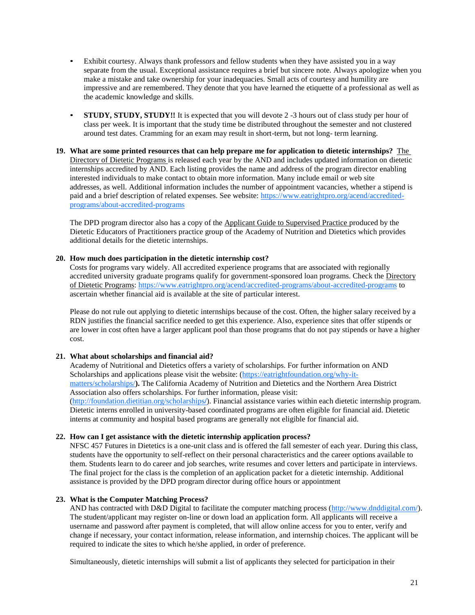- Exhibit courtesy. Always thank professors and fellow students when they have assisted you in a way separate from the usual. Exceptional assistance requires a brief but sincere note. Always apologize when you make a mistake and take ownership for your inadequacies. Small acts of courtesy and humility are impressive and are remembered. They denote that you have learned the etiquette of a professional as well as the academic knowledge and skills.
- **STUDY, STUDY, STUDY!!** It is expected that you will devote 2 -3 hours out of class study per hour of class per week. It is important that the study time be distributed throughout the semester and not clustered around test dates. Cramming for an exam may result in short-term, but not long- term learning.
- **19. What are some printed resources that can help prepare me for application to dietetic internships?** The Directory of Dietetic Programs is released each year by the AND and includes updated information on dietetic internships accredited by AND. Each listing provides the name and address of the program director enabling interested individuals to make contact to obtain more information. Many include email or web site addresses, as well. Additional information includes the number of appointment vacancies, whether a stipend is paid and a brief description of related expenses. See website: [https://www.eatrightpro.org/acend/accredited](https://www.eatrightpro.org/acend/accredited-programs/about-accredited-programs)[programs/about-accredited-programs](https://www.eatrightpro.org/acend/accredited-programs/about-accredited-programs)

The DPD program director also has a copy of the Applicant Guide to Supervised Practice produced by the Dietetic Educators of Practitioners practice group of the Academy of Nutrition and Dietetics which provides additional details for the dietetic internships.

# **20. How much does participation in the dietetic internship cost?**

Costs for programs vary widely. All accredited experience programs that are associated with regionally accredited university graduate programs qualify for government-sponsored loan programs. Check the Directory of Dietetic Programs:<https://www.eatrightpro.org/acend/accredited-programs/about-accredited-programs> to ascertain whether financial aid is available at the site of particular interest.

Please do not rule out applying to dietetic internships because of the cost. Often, the higher salary received by a RDN justifies the financial sacrifice needed to get this experience. Also, experience sites that offer stipends or are lower in cost often have a larger applicant pool than those programs that do not pay stipends or have a higher cost.

# **21. What about scholarships and financial aid?**

Academy of Nutritional and Dietetics offers a variety of scholarships. For further information on AND Scholarships and applications please visit the website: [\(https://eatrightfoundation.org/why-it](https://eatrightfoundation.org/why-it-matters/scholarships/)[matters/scholarships/](https://eatrightfoundation.org/why-it-matters/scholarships/)**).** The California Academy of Nutrition and Dietetics and the Northern Area District Association also offers scholarships. For further information, please visit: [\(http://foundation.dietitian.org/scholarships](http://foundation.dietitian.org/scholarships/)**/**). Financial assistance varies within each dietetic internship program. Dietetic interns enrolled in university-based coordinated programs are often eligible for financial aid. Dietetic interns at community and hospital based programs are generally not eligible for financial aid.

# **22. How can I get assistance with the dietetic internship application process?**

NFSC 457 Futures in Dietetics is a one-unit class and is offered the fall semester of each year. During this class, students have the opportunity to self-reflect on their personal characteristics and the career options available to them. Students learn to do career and job searches, write resumes and cover letters and participate in interviews. The final project for the class is the completion of an application packet for a dietetic internship. Additional assistance is provided by the DPD program director during office hours or appointment

# **23. What is the Computer Matching Process?**

AND has contracted with D&D Digital to facilitate the computer matching process [\(http://www.dnddigital.com/\)](http://www.dnddigital.com/). The student/applicant may register on-line or down load an application form. All applicants will receive a username and password after payment is completed, that will allow online access for you to enter, verify and change if necessary, your contact information, release information, and internship choices. The applicant will be required to indicate the sites to which he/she applied, in order of preference.

Simultaneously, dietetic internships will submit a list of applicants they selected for participation in their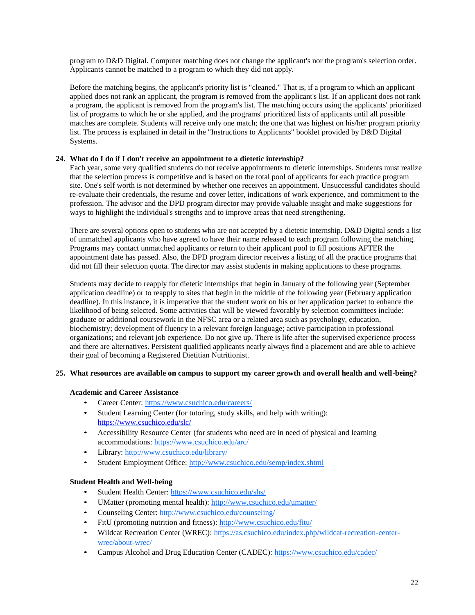program to D&D Digital. Computer matching does not change the applicant's nor the program's selection order. Applicants cannot be matched to a program to which they did not apply.

Before the matching begins, the applicant's priority list is "cleaned." That is, if a program to which an applicant applied does not rank an applicant, the program is removed from the applicant's list. If an applicant does not rank a program, the applicant is removed from the program's list. The matching occurs using the applicants' prioritized list of programs to which he or she applied, and the programs' prioritized lists of applicants until all possible matches are complete. Students will receive only one match; the one that was highest on his/her program priority list. The process is explained in detail in the "Instructions to Applicants" booklet provided by D&D Digital Systems.

# **24. What do I do if I don't receive an appointment to a dietetic internship?**

Each year, some very qualified students do not receive appointments to dietetic internships. Students must realize that the selection process is competitive and is based on the total pool of applicants for each practice program site. One's self worth is not determined by whether one receives an appointment. Unsuccessful candidates should re-evaluate their credentials, the resume and cover letter, indications of work experience, and commitment to the profession. The advisor and the DPD program director may provide valuable insight and make suggestions for ways to highlight the individual's strengths and to improve areas that need strengthening.

There are several options open to students who are not accepted by a dietetic internship. D&D Digital sends a list of unmatched applicants who have agreed to have their name released to each program following the matching. Programs may contact unmatched applicants or return to their applicant pool to fill positions AFTER the appointment date has passed. Also, the DPD program director receives a listing of all the practice programs that did not fill their selection quota. The director may assist students in making applications to these programs.

Students may decide to reapply for dietetic internships that begin in January of the following year (September application deadline) or to reapply to sites that begin in the middle of the following year (February application deadline). In this instance, it is imperative that the student work on his or her application packet to enhance the likelihood of being selected. Some activities that will be viewed favorably by selection committees include: graduate or additional coursework in the NFSC area or a related area such as psychology, education, biochemistry; development of fluency in a relevant foreign language; active participation in professional organizations; and relevant job experience. Do not give up. There is life after the supervised experience process and there are alternatives. Persistent qualified applicants nearly always find a placement and are able to achieve their goal of becoming a Registered Dietitian Nutritionist.

#### **25. What resources are available on campus to support my career growth and overall health and well-being?**

#### **Academic and Career Assistance**

- Career Center:<https://www.csuchico.edu/careers/>
- Student Learning Center (for tutoring, study skills, and help with writing): <https://www.csuchico.edu/slc/>
- Accessibility Resource Center (for students who need are in need of physical and learning accommodations: <https://www.csuchico.edu/arc/>
- Library:<http://www.csuchico.edu/library/>
- Student Employment Office:<http://www.csuchico.edu/semp/index.shtml>

# **Student Health and Well-being**

- Student Health Center:<https://www.csuchico.edu/shs/>
- UMatter (promoting mental health):<http://www.csuchico.edu/umatter/>
- Counseling Center:<http://www.csuchico.edu/counseling/>
- FitU (promoting nutrition and fitness):<http://www.csuchico.edu/fitu/>
- Wildcat Recreation Center (WREC): [https://as.csuchico.edu/index.php/wildcat-recreation-center](https://as.csuchico.edu/index.php/wildcat-recreation-center-wrec/about-wrec/)[wrec/about-wrec/](https://as.csuchico.edu/index.php/wildcat-recreation-center-wrec/about-wrec/)
- Campus Alcohol and Drug Education Center (CADEC):<https://www.csuchico.edu/cadec/>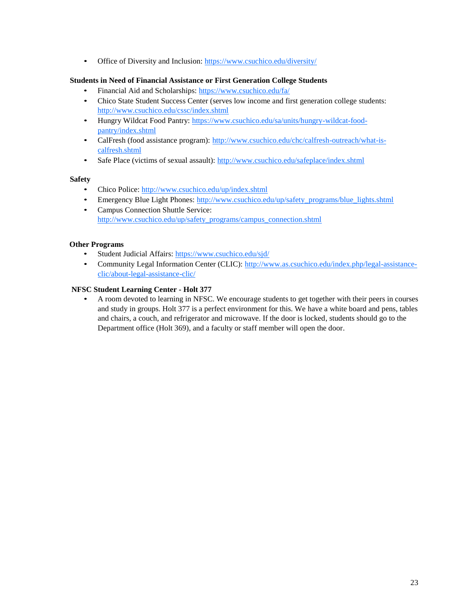• Office of Diversity and Inclusion:<https://www.csuchico.edu/diversity/>

# **Students in Need of Financial Assistance or First Generation College Students**

- Financial Aid and Scholarships:<https://www.csuchico.edu/fa/>
- Chico State Student Success Center (serves low income and first generation college students: <http://www.csuchico.edu/cssc/index.shtml>
- Hungry Wildcat Food Pantry: [https://www.csuchico.edu/sa/units/hungry-wildcat-food](https://www.csuchico.edu/sa/units/hungry-wildcat-food-pantry/index.shtml)[pantry/index.shtml](https://www.csuchico.edu/sa/units/hungry-wildcat-food-pantry/index.shtml)
- CalFresh (food assistance program): [http://www.csuchico.edu/chc/calfresh-outreach/what-is](http://www.csuchico.edu/chc/calfresh-outreach/what-is-calfresh.shtml)[calfresh.shtml](http://www.csuchico.edu/chc/calfresh-outreach/what-is-calfresh.shtml)
- Safe Place (victims of sexual assault):<http://www.csuchico.edu/safeplace/index.shtml>

# **Safety**

- Chico Police[: http://www.csuchico.edu/up/index.shtml](http://www.csuchico.edu/up/index.shtml)
- Emergency Blue Light Phones: [http://www.csuchico.edu/up/safety\\_programs/blue\\_lights.shtml](http://www.csuchico.edu/up/safety_programs/blue_lights.shtml)
- Campus Connection Shuttle Service: [http://www.csuchico.edu/up/safety\\_programs/campus\\_connection.shtml](http://www.csuchico.edu/up/safety_programs/campus_connection.shtml)

# **Other Programs**

- Student Judicial Affairs:<https://www.csuchico.edu/sjd/>
- Community Legal Information Center (CLIC): [http://www.as.csuchico.edu/index.php/legal-assistance](http://www.as.csuchico.edu/index.php/legal-assistance-clic/about-legal-assistance-clic/)[clic/about-legal-assistance-clic/](http://www.as.csuchico.edu/index.php/legal-assistance-clic/about-legal-assistance-clic/)

# **NFSC Student Learning Center - Holt 377**

• A room devoted to learning in NFSC. We encourage students to get together with their peers in courses and study in groups. Holt 377 is a perfect environment for this. We have a white board and pens, tables and chairs, a couch, and refrigerator and microwave. If the door is locked, students should go to the Department office (Holt 369), and a faculty or staff member will open the door.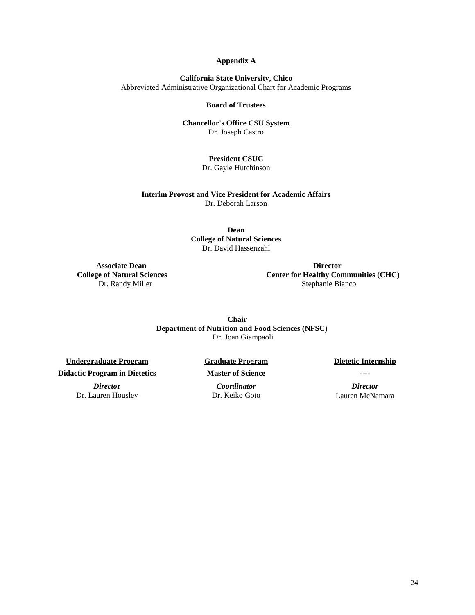#### **Appendix A**

**California State University, Chico** Abbreviated Administrative Organizational Chart for Academic Programs

#### **Board of Trustees**

#### **Chancellor's Office CSU System** Dr. Joseph Castro

# **President CSUC**

Dr. Gayle Hutchinson

**Interim Provost and Vice President for Academic Affairs** Dr. Deborah Larson

> **Dean College of Natural Sciences** Dr. David Hassenzahl

 **Associate Dean Director College of Natural Sciences Center for Healthy Communities (CHC)** Dr. Randy Miller Stephanie Bianco

> **Chair Department of Nutrition and Food Sciences (NFSC)** Dr. Joan Giampaoli

**Undergraduate Program Graduate Program Dietetic Internship Didactic Program in Dietetics Master of Science** ----

Dr. Lauren Housley Dr. Keiko Goto Lauren McNamara

*Directo***r** *Coordinator Director*